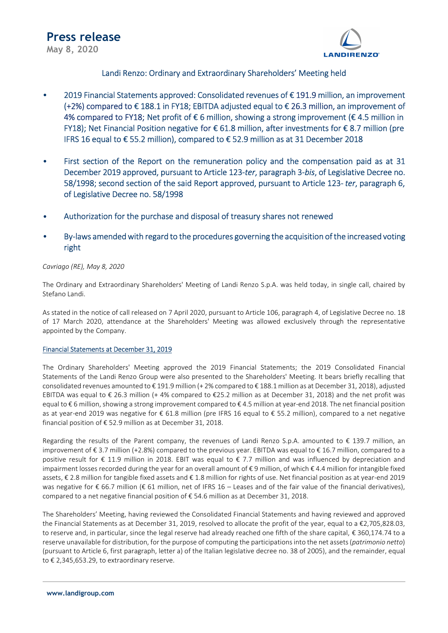

# Landi Renzo: Ordinary and Extraordinary Shareholders' Meeting held

- 2019 Financial Statements approved: Consolidated revenues of € 191.9 million, an improvement (+2%) compared to € 188.1 in FY18; EBITDA adjusted equal to € 26.3 million, an improvement of 4% compared to FY18; Net profit of € 6 million, showing a strong improvement (€ 4.5 million in FY18); Net Financial Position negative for € 61.8 million, after investments for € 8.7 million (pre IFRS 16 equal to € 55.2 million), compared to € 52.9 million as at 31 December 2018
- First section of the Report on the remuneration policy and the compensation paid as at 31 December 2019 approved, pursuant to Article 123-ter, paragraph 3-bis, of Legislative Decree no. 58/1998; second section of the said Report approved, pursuant to Article 123- ter, paragraph 6, of Legislative Decree no. 58/1998
- Authorization for the purchase and disposal of treasury shares not renewed
- By-laws amended with regard to the procedures governing the acquisition of the increased voting right

# Cavriago (RE), May 8, 2020

The Ordinary and Extraordinary Shareholders' Meeting of Landi Renzo S.p.A. was held today, in single call, chaired by Stefano Landi.

As stated in the notice of call released on 7 April 2020, pursuant to Article 106, paragraph 4, of Legislative Decree no. 18 of 17 March 2020, attendance at the Shareholders' Meeting was allowed exclusively through the representative appointed by the Company.

### Financial Statements at December 31, 2019

The Ordinary Shareholders' Meeting approved the 2019 Financial Statements; the 2019 Consolidated Financial Statements of the Landi Renzo Group were also presented to the Shareholders' Meeting. It bears briefly recalling that consolidated revenues amounted to € 191.9 million (+ 2% compared to € 188.1 million as at December 31, 2018), adjusted EBITDA was equal to € 26.3 million (+ 4% compared to €25.2 million as at December 31, 2018) and the net profit was equal to € 6 million, showing a strong improvement compared to € 4.5 million at year-end 2018. The net financial position as at year-end 2019 was negative for € 61.8 million (pre IFRS 16 equal to € 55.2 million), compared to a net negative financial position of € 52.9 million as at December 31, 2018.

Regarding the results of the Parent company, the revenues of Landi Renzo S.p.A. amounted to € 139.7 million, an improvement of € 3.7 million (+2.8%) compared to the previous year. EBITDA was equal to € 16.7 million, compared to a positive result for € 11.9 million in 2018. EBIT was equal to € 7.7 million and was influenced by depreciation and impairment losses recorded during the year for an overall amount of € 9 million, of which € 4.4 million for intangible fixed assets, € 2.8 million for tangible fixed assets and € 1.8 million for rights of use. Net financial position as at year-end 2019 was negative for € 66.7 million (€ 61 million, net of IFRS 16 – Leases and of the fair value of the financial derivatives), compared to a net negative financial position of  $\epsilon$  54.6 million as at December 31, 2018.

The Shareholders' Meeting, having reviewed the Consolidated Financial Statements and having reviewed and approved the Financial Statements as at December 31, 2019, resolved to allocate the profit of the year, equal to a €2,705,828.03, to reserve and, in particular, since the legal reserve had already reached one fifth of the share capital, € 360,174.74 to a reserve unavailable for distribution, for the purpose of computing the participations into the net assets (patrimonio netto) (pursuant to Article 6, first paragraph, letter a) of the Italian legislative decree no. 38 of 2005), and the remainder, equal to € 2,345,653.29, to extraordinary reserve.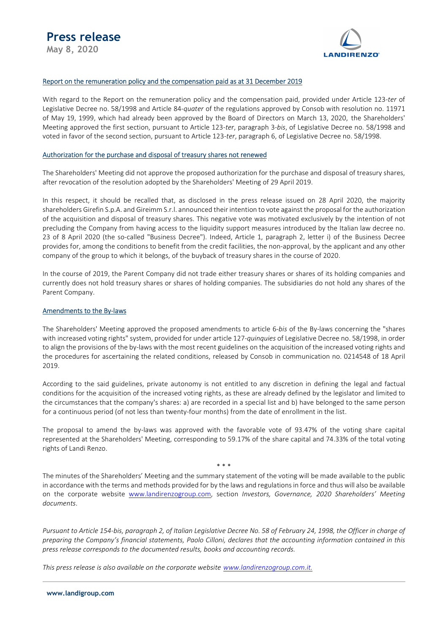

## Report on the remuneration policy and the compensation paid as at 31 December 2019

With regard to the Report on the remuneration policy and the compensation paid, provided under Article 123-ter of Legislative Decree no. 58/1998 and Article 84-quater of the regulations approved by Consob with resolution no. 11971 of May 19, 1999, which had already been approved by the Board of Directors on March 13, 2020, the Shareholders' Meeting approved the first section, pursuant to Article 123-ter, paragraph 3-bis, of Legislative Decree no. 58/1998 and voted in favor of the second section, pursuant to Article 123-ter, paragraph 6, of Legislative Decree no. 58/1998.

#### Authorization for the purchase and disposal of treasury shares not renewed

The Shareholders' Meeting did not approve the proposed authorization for the purchase and disposal of treasury shares, after revocation of the resolution adopted by the Shareholders' Meeting of 29 April 2019.

In this respect, it should be recalled that, as disclosed in the press release issued on 28 April 2020, the majority shareholders Girefin S.p.A. and Gireimm S.r.l. announced their intention to vote against the proposal for the authorization of the acquisition and disposal of treasury shares. This negative vote was motivated exclusively by the intention of not precluding the Company from having access to the liquidity support measures introduced by the Italian law decree no. 23 of 8 April 2020 (the so-called "Business Decree"). Indeed, Article 1, paragraph 2, letter i) of the Business Decree provides for, among the conditions to benefit from the credit facilities, the non-approval, by the applicant and any other company of the group to which it belongs, of the buyback of treasury shares in the course of 2020.

In the course of 2019, the Parent Company did not trade either treasury shares or shares of its holding companies and currently does not hold treasury shares or shares of holding companies. The subsidiaries do not hold any shares of the Parent Company.

#### Amendments to the By-laws

The Shareholders' Meeting approved the proposed amendments to article 6-bis of the By-laws concerning the "shares with increased voting rights" system, provided for under article 127-quinquies of Legislative Decree no. 58/1998, in order to align the provisions of the by-laws with the most recent guidelines on the acquisition of the increased voting rights and the procedures for ascertaining the related conditions, released by Consob in communication no. 0214548 of 18 April 2019.

According to the said guidelines, private autonomy is not entitled to any discretion in defining the legal and factual conditions for the acquisition of the increased voting rights, as these are already defined by the legislator and limited to the circumstances that the company's shares: a) are recorded in a special list and b) have belonged to the same person for a continuous period (of not less than twenty-four months) from the date of enrollment in the list.

The proposal to amend the by-laws was approved with the favorable vote of 93.47% of the voting share capital represented at the Shareholders' Meeting, corresponding to 59.17% of the share capital and 74.33% of the total voting rights of Landi Renzo.

\* \* \*

The minutes of the Shareholders' Meeting and the summary statement of the voting will be made available to the public in accordance with the terms and methods provided for by the laws and regulations in force and thus will also be available on the corporate website www.landirenzogroup.com, section Investors, Governance, 2020 Shareholders' Meeting documents.

Pursuant to Article 154-bis, paragraph 2, of Italian Legislative Decree No. 58 of February 24, 1998, the Officer in charge of preparing the Company's financial statements, Paolo Cilloni, declares that the accounting information contained in this press release corresponds to the documented results, books and accounting records.

This press release is also available on the corporate website www.landirenzogroup.com.it.